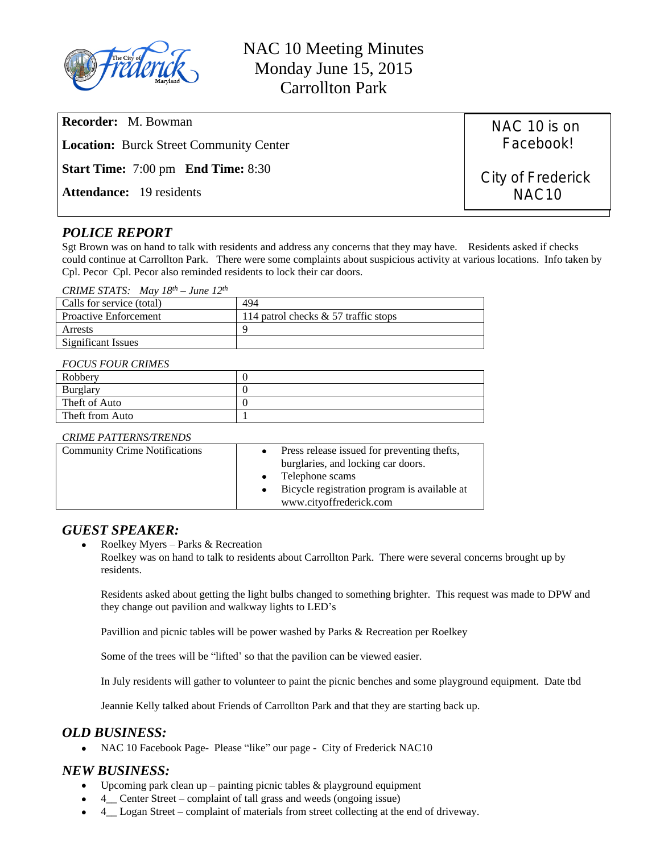

NAC 10 Meeting Minutes Monday June 15, 2015 Carrollton Park

**Recorder:** M. Bowman **Location:** Burck Street Community Center **Start Time:** 7:00 pm **End Time:** 8:30 **Attendance:** 19 residents

# *POLICE REPORT*

Sgt Brown was on hand to talk with residents and address any concerns that they may have. Residents asked if checks could continue at Carrollton Park. There were some complaints about suspicious activity at various locations. Info taken by Cpl. Pecor Cpl. Pecor also reminded residents to lock their car doors.

### *CRIME STATS: May 18th – June 12th*

| Calls for service (total)    | 494                                    |
|------------------------------|----------------------------------------|
| <b>Proactive Enforcement</b> | 114 patrol checks $& 57$ traffic stops |
| Arrests                      |                                        |
| <b>Significant Issues</b>    |                                        |

#### *FOCUS FOUR CRIMES*

| Robbery         |  |
|-----------------|--|
| Burglary        |  |
| Theft of Auto   |  |
| Theft from Auto |  |

### *CRIME PATTERNS/TRENDS*

| <b>Community Crime Notifications</b> | Press release issued for preventing thefts,  |  |
|--------------------------------------|----------------------------------------------|--|
|                                      | burglaries, and locking car doors.           |  |
|                                      | $\bullet$ Telephone scams                    |  |
|                                      | Bicycle registration program is available at |  |
|                                      | www.cityoffrederick.com                      |  |

## *GUEST SPEAKER:*

Roelkey Myers – Parks & Recreation

Roelkey was on hand to talk to residents about Carrollton Park. There were several concerns brought up by residents.

Residents asked about getting the light bulbs changed to something brighter. This request was made to DPW and they change out pavilion and walkway lights to LED's

Pavillion and picnic tables will be power washed by Parks & Recreation per Roelkey

Some of the trees will be "lifted' so that the pavilion can be viewed easier.

In July residents will gather to volunteer to paint the picnic benches and some playground equipment. Date tbd

Jeannie Kelly talked about Friends of Carrollton Park and that they are starting back up.

## *OLD BUSINESS:*

• NAC 10 Facebook Page- Please "like" our page - City of Frederick NAC10

## *NEW BUSINESS:*

- Upcoming park clean up painting picnic tables & playground equipment
- 4\_\_ Center Street complaint of tall grass and weeds (ongoing issue)
- 4\_\_ Logan Street complaint of materials from street collecting at the end of driveway.

NAC 10 is on Facebook!

City of Frederick NAC10